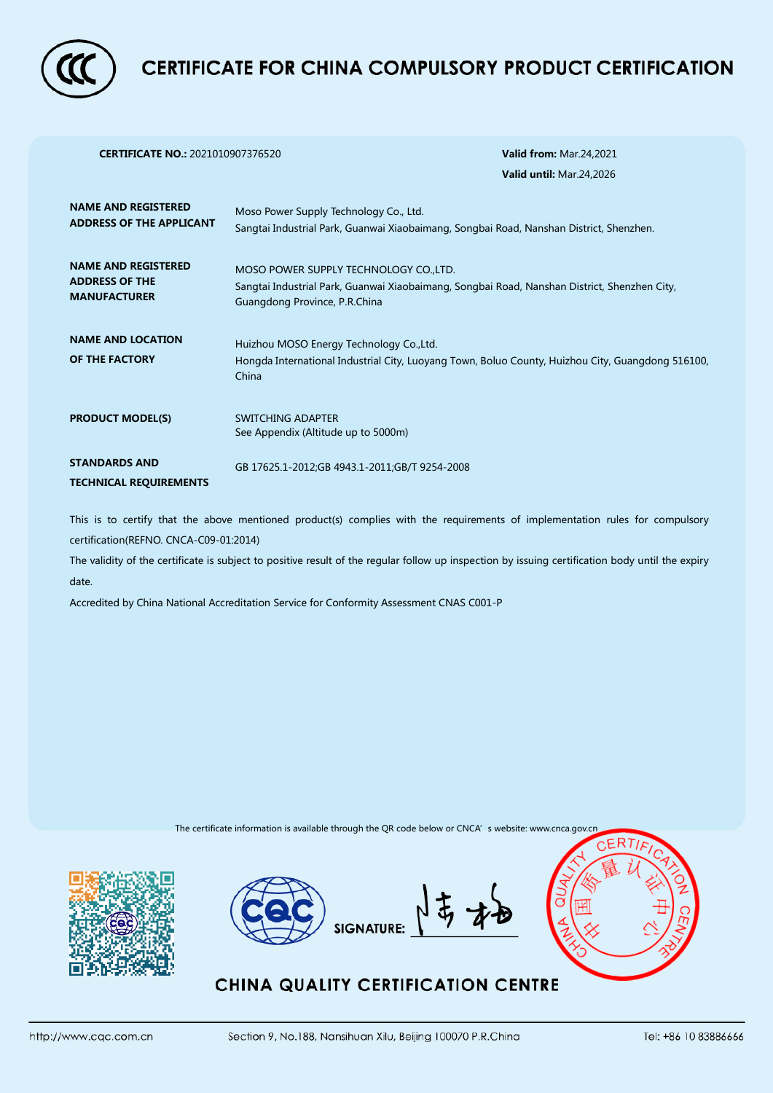

## **CERTIFICATE FOR CHINA COMPULSORY PRODUCT CERTIFICATION**

| <b>CERTIFICATE NO.: 2021010907376520</b>                                   | <b>Valid from: Mar.24,2021</b>                                                                                                                                          |
|----------------------------------------------------------------------------|-------------------------------------------------------------------------------------------------------------------------------------------------------------------------|
|                                                                            | Valid until: Mar.24,2026                                                                                                                                                |
| <b>NAME AND REGISTERED</b><br><b>ADDRESS OF THE APPLICANT</b>              | Moso Power Supply Technology Co., Ltd.<br>Sangtai Industrial Park, Guanwai Xiaobaimang, Songbai Road, Nanshan District, Shenzhen.                                       |
| <b>NAME AND REGISTERED</b><br><b>ADDRESS OF THE</b><br><b>MANUFACTURER</b> | MOSO POWER SUPPLY TECHNOLOGY CO., LTD.<br>Sangtai Industrial Park, Guanwai Xiaobaimang, Songbai Road, Nanshan District, Shenzhen City,<br>Guangdong Province, P.R.China |
| <b>NAME AND LOCATION</b><br>OF THE FACTORY                                 | Huizhou MOSO Energy Technology Co., Ltd.<br>Hongda International Industrial City, Luoyang Town, Boluo County, Huizhou City, Guangdong 516100,<br>China                  |
| <b>PRODUCT MODEL(S)</b>                                                    | SWITCHING ADAPTER<br>See Appendix (Altitude up to 5000m)                                                                                                                |
| <b>STANDARDS AND</b><br><b>TECHNICAL REQUIREMENTS</b>                      | GB 17625.1-2012;GB 4943.1-2011;GB/T 9254-2008                                                                                                                           |

This is to certify that the above mentioned product(s) complies with the requirements of implementation rules for compulsory certification(REFNO. CNCA-C09-01:2014)

The validity of the certificate is subject to positive result of the regular follow up inspection by issuing certification body until the expiry date.

Accredited by China National Accreditation Service for Conformity Assessment CNAS C001-P

The certificate information is available through the QR code below or CNCA's website: www.cnca.gov.cn







## **CHINA QUALITY CERTIFICATION CENTRE**